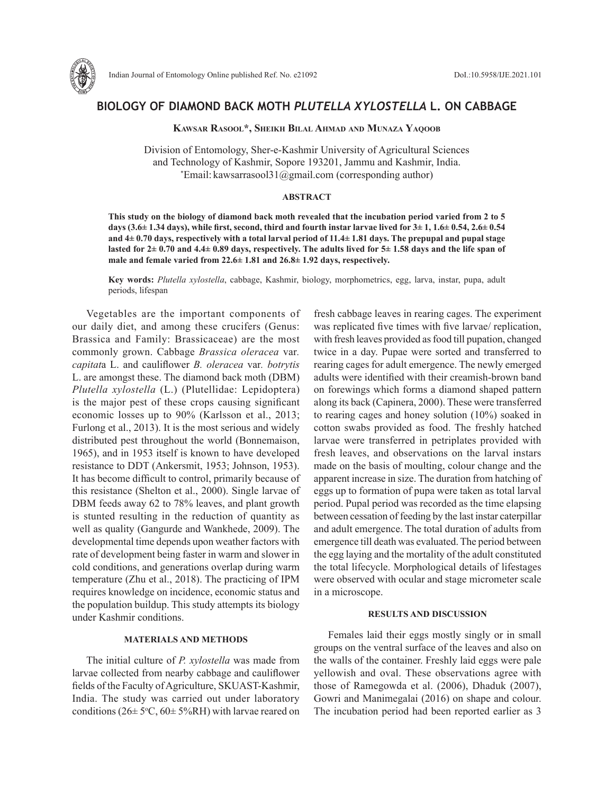

# **BIOLOGY OF DIAMOND BACK MOTH** *PLUTELLA XYLOSTELLA* **L. ON CABBAGE**

**Kawsar Rasool\*, Sheikh Bilal Ahmad and Munaza Yaqoob**

Division of Entomology, Sher-e-Kashmir University of Agricultural Sciences and Technology of Kashmir, Sopore 193201, Jammu and Kashmir, India. \* Email: kawsarrasool31@gmail.com (corresponding author)

#### **ABSTRACT**

**This study on the biology of diamond back moth revealed that the incubation period varied from 2 to 5 days (3.6± 1.34 days), while first, second, third and fourth instar larvae lived for 3± 1, 1.6± 0.54, 2.6± 0.54 and 4± 0.70 days, respectively with a total larval period of 11.4± 1.81 days. The prepupal and pupal stage lasted for 2± 0.70 and 4.4± 0.89 days, respectively. The adults lived for 5± 1.58 days and the life span of male and female varied from 22.6± 1.81 and 26.8± 1.92 days, respectively.** 

**Key words:** *Plutella xylostella*, cabbage, Kashmir, biology, morphometrics, egg, larva, instar, pupa, adult periods, lifespan

Vegetables are the important components of our daily diet, and among these crucifers (Genus: Brassica and Family: Brassicaceae) are the most commonly grown. Cabbage *Brassica oleracea* var*. capitat*a L. and cauliflower *B. oleracea* var*. botrytis* L. are amongst these. The diamond back moth (DBM) *Plutella xylostella* (L.) (Plutellidae: Lepidoptera) is the major pest of these crops causing significant economic losses up to 90% (Karlsson et al., 2013; Furlong et al., 2013). It is the most serious and widely distributed pest throughout the world (Bonnemaison, 1965), and in 1953 itself is known to have developed resistance to DDT (Ankersmit, 1953; Johnson, 1953). It has become difficult to control, primarily because of this resistance (Shelton et al., 2000). Single larvae of DBM feeds away 62 to 78% leaves, and plant growth is stunted resulting in the reduction of quantity as well as quality (Gangurde and Wankhede, 2009). The developmental time depends upon weather factors with rate of development being faster in warm and slower in cold conditions, and generations overlap during warm temperature (Zhu et al., 2018). The practicing of IPM requires knowledge on incidence, economic status and the population buildup. This study attempts its biology under Kashmir conditions.

## **MATERIALS AND METHODS**

The initial culture of *P. xylostella* was made from larvae collected from nearby cabbage and cauliflower fields of the Faculty of Agriculture, SKUAST-Kashmir, India. The study was carried out under laboratory conditions ( $26 \pm 5\degree C$ ,  $60 \pm 5\% RH$ ) with larvae reared on

fresh cabbage leaves in rearing cages. The experiment was replicated five times with five larvae/ replication, with fresh leaves provided as food till pupation, changed twice in a day. Pupae were sorted and transferred to rearing cages for adult emergence. The newly emerged adults were identified with their creamish-brown band on forewings which forms a diamond shaped pattern along its back (Capinera, 2000). These were transferred to rearing cages and honey solution (10%) soaked in cotton swabs provided as food. The freshly hatched larvae were transferred in petriplates provided with fresh leaves, and observations on the larval instars made on the basis of moulting, colour change and the apparent increase in size. The duration from hatching of eggs up to formation of pupa were taken as total larval period. Pupal period was recorded as the time elapsing between cessation of feeding by the last instar caterpillar and adult emergence. The total duration of adults from emergence till death was evaluated. The period between the egg laying and the mortality of the adult constituted the total lifecycle. Morphological details of lifestages were observed with ocular and stage micrometer scale in a microscope.

### **RESULTS AND DISCUSSION**

Females laid their eggs mostly singly or in small groups on the ventral surface of the leaves and also on the walls of the container. Freshly laid eggs were pale yellowish and oval. These observations agree with those of Ramegowda et al. (2006), Dhaduk (2007), Gowri and Manimegalai (2016) on shape and colour. The incubation period had been reported earlier as 3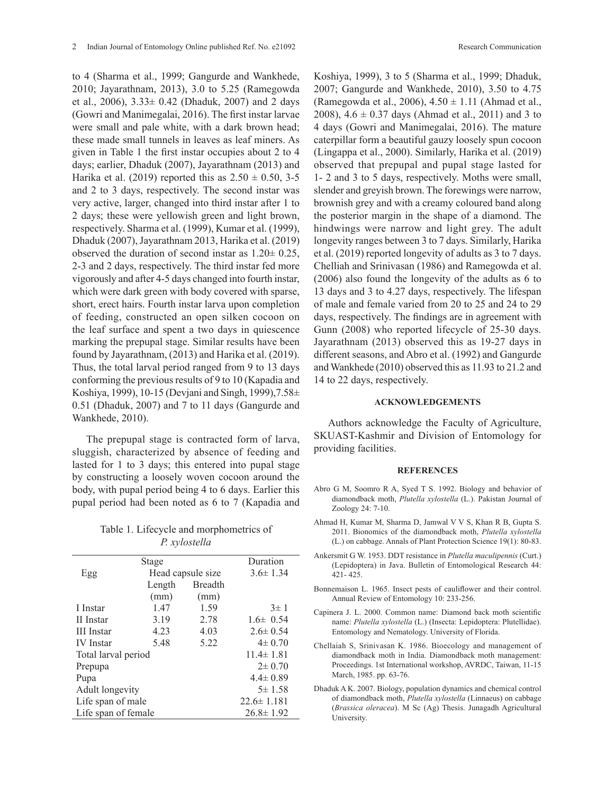to 4 (Sharma et al., 1999; Gangurde and Wankhede, 2010; Jayarathnam, 2013), 3.0 to 5.25 (Ramegowda et al., 2006), 3.33± 0.42 (Dhaduk, 2007) and 2 days (Gowri and Manimegalai, 2016). The first instar larvae were small and pale white, with a dark brown head; these made small tunnels in leaves as leaf miners. As given in Table 1 the first instar occupies about 2 to 4 days; earlier, Dhaduk (2007), Jayarathnam (2013) and Harika et al. (2019) reported this as  $2.50 \pm 0.50$ , 3-5 and 2 to 3 days, respectively. The second instar was very active, larger, changed into third instar after 1 to 2 days; these were yellowish green and light brown, respectively. Sharma et al. (1999), Kumar et al. (1999), Dhaduk (2007), Jayarathnam 2013, Harika et al. (2019) observed the duration of second instar as  $1.20 \pm 0.25$ , 2-3 and 2 days, respectively. The third instar fed more vigorously and after 4-5 days changed into fourth instar, which were dark green with body covered with sparse, short, erect hairs. Fourth instar larva upon completion of feeding, constructed an open silken cocoon on the leaf surface and spent a two days in quiescence marking the prepupal stage. Similar results have been found by Jayarathnam, (2013) and Harika et al. (2019). Thus, the total larval period ranged from 9 to 13 days conforming the previous results of 9 to 10 (Kapadia and Koshiya, 1999), 10-15 (Devjani and Singh, 1999),7.58± 0.51 (Dhaduk, 2007) and 7 to 11 days (Gangurde and Wankhede, 2010).

The prepupal stage is contracted form of larva, sluggish, characterized by absence of feeding and lasted for 1 to 3 days; this entered into pupal stage by constructing a loosely woven cocoon around the body, with pupal period being 4 to 6 days. Earlier this pupal period had been noted as 6 to 7 (Kapadia and

Table 1. Lifecycle and morphometrics of *P. xylostella*

| Stage               |                   |                | Duration         |
|---------------------|-------------------|----------------|------------------|
| Egg                 | Head capsule size |                | $3.6 \pm 1.34$   |
|                     | Length            | <b>Breadth</b> |                  |
|                     | (mm)              | (mm)           |                  |
| I Instar            | 1.47              | 1.59           | $3 \pm 1$        |
| II Instar           | 3.19              | 2.78           | $1.6\pm 0.54$    |
| <b>III</b> Instar   | 4.23              | 4.03           | $2.6 \pm 0.54$   |
| <b>IV</b> Instar    | 5.48              | 5.22           | $4\pm 0.70$      |
| Total larval period |                   |                | $11.4 \pm 1.81$  |
| Prepupa             |                   |                | $2 \pm 0.70$     |
| Pupa                |                   |                | $4.4 \pm 0.89$   |
| Adult longevity     |                   |                | $5\pm 1.58$      |
| Life span of male   |                   |                | $22.6 \pm 1.181$ |
| Life span of female |                   |                | $26.8 \pm 1.92$  |

Koshiya, 1999), 3 to 5 (Sharma et al., 1999; Dhaduk, 2007; Gangurde and Wankhede, 2010), 3.50 to 4.75 (Ramegowda et al., 2006),  $4.50 \pm 1.11$  (Ahmad et al., 2008),  $4.6 \pm 0.37$  days (Ahmad et al., 2011) and 3 to 4 days (Gowri and Manimegalai, 2016). The mature caterpillar form a beautiful gauzy loosely spun cocoon (Lingappa et al., 2000). Similarly, Harika et al. (2019) observed that prepupal and pupal stage lasted for 1- 2 and 3 to 5 days, respectively. Moths were small, slender and greyish brown. The forewings were narrow, brownish grey and with a creamy coloured band along the posterior margin in the shape of a diamond. The hindwings were narrow and light grey. The adult

longevity ranges between 3 to 7 days. Similarly, Harika et al. (2019) reported longevity of adults as 3 to 7 days. Chelliah and Srinivasan (1986) and Ramegowda et al. (2006) also found the longevity of the adults as 6 to 13 days and 3 to 4.27 days, respectively. The lifespan of male and female varied from 20 to 25 and 24 to 29 days, respectively. The findings are in agreement with Gunn (2008) who reported lifecycle of 25-30 days. Jayarathnam (2013) observed this as 19-27 days in different seasons, and Abro et al. (1992) and Gangurde and Wankhede (2010) observed this as 11.93 to 21.2 and 14 to 22 days, respectively.

#### **ACKNOWLEDGEMENTS**

Authors acknowledge the Faculty of Agriculture, SKUAST-Kashmir and Division of Entomology for providing facilities.

#### **REFERENCES**

- Abro G M, Soomro R A, Syed T S. 1992. Biology and behavior of diamondback moth, *Plutella xylostella* (L.). Pakistan Journal of Zoology 24: 7-10.
- Ahmad H, Kumar M, Sharma D, Jamwal V V S, Khan R B, Gupta S. 2011. Bionomics of the diamondback moth, *Plutella xylostella*  (L.) on cabbage. Annals of Plant Protection Science 19(1): 80-83.
- Ankersmit G W. 1953. DDT resistance in *Plutella maculipennis* (Curt.) (Lepidoptera) in Java. Bulletin of Entomological Research 44: 421- 425.
- Bonnemaison L. 1965. Insect pests of cauliflower and their control. Annual Review of Entomology 10: 233-256.
- Capinera J. L. 2000. Common name: Diamond back moth scientific name: *Plutella xylostella* (L.) (Insecta: Lepidoptera: Plutellidae). Entomology and Nematology. University of Florida.
- Chellaiah S, Srinivasan K. 1986. Bioecology and management of diamondback moth in India. Diamondback moth management: Proceedings. 1st International workshop, AVRDC, Taiwan, 11-15 March, 1985. pp. 63-76.
- Dhaduk A K. 2007. Biology, population dynamics and chemical control of diamondback moth, *Plutella xylostella* (Linnaeus) on cabbage (*Brassica oleracea*). M Sc (Ag) Thesis. Junagadh Agricultural University.